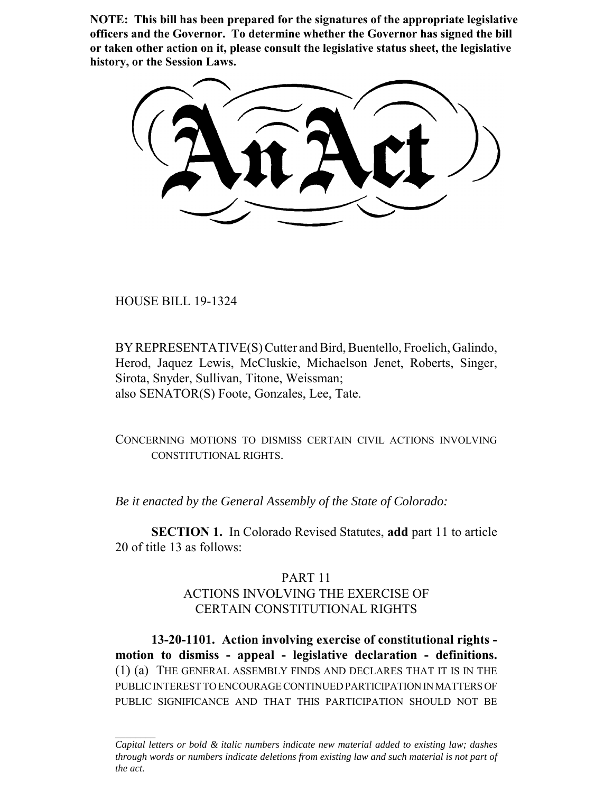**NOTE: This bill has been prepared for the signatures of the appropriate legislative officers and the Governor. To determine whether the Governor has signed the bill or taken other action on it, please consult the legislative status sheet, the legislative history, or the Session Laws.**

HOUSE BILL 19-1324

BY REPRESENTATIVE(S) Cutter and Bird, Buentello, Froelich, Galindo, Herod, Jaquez Lewis, McCluskie, Michaelson Jenet, Roberts, Singer, Sirota, Snyder, Sullivan, Titone, Weissman; also SENATOR(S) Foote, Gonzales, Lee, Tate.

CONCERNING MOTIONS TO DISMISS CERTAIN CIVIL ACTIONS INVOLVING CONSTITUTIONAL RIGHTS.

*Be it enacted by the General Assembly of the State of Colorado:*

**SECTION 1.** In Colorado Revised Statutes, **add** part 11 to article 20 of title 13 as follows:

## PART 11

# ACTIONS INVOLVING THE EXERCISE OF CERTAIN CONSTITUTIONAL RIGHTS

**13-20-1101. Action involving exercise of constitutional rights motion to dismiss - appeal - legislative declaration - definitions.** (1) (a) THE GENERAL ASSEMBLY FINDS AND DECLARES THAT IT IS IN THE PUBLIC INTEREST TO ENCOURAGE CONTINUED PARTICIPATION IN MATTERS OF PUBLIC SIGNIFICANCE AND THAT THIS PARTICIPATION SHOULD NOT BE

*Capital letters or bold & italic numbers indicate new material added to existing law; dashes through words or numbers indicate deletions from existing law and such material is not part of the act.*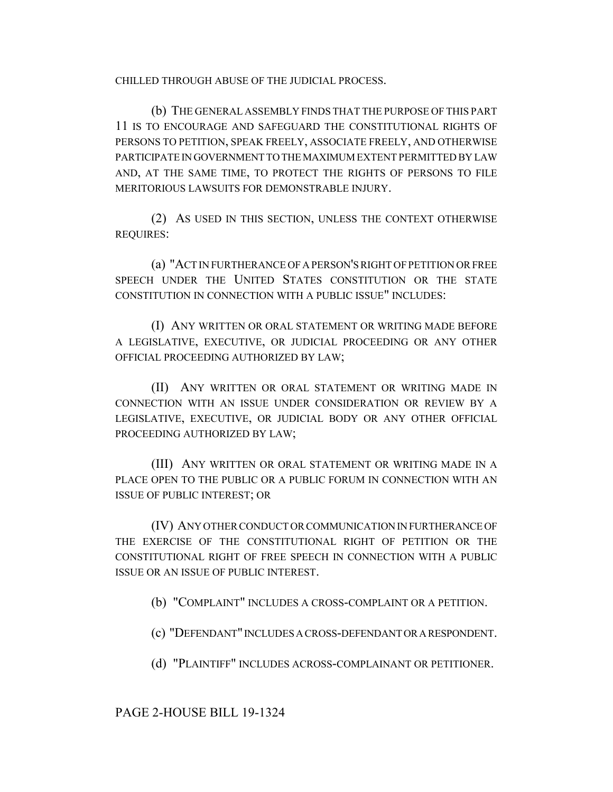CHILLED THROUGH ABUSE OF THE JUDICIAL PROCESS.

(b) THE GENERAL ASSEMBLY FINDS THAT THE PURPOSE OF THIS PART 11 IS TO ENCOURAGE AND SAFEGUARD THE CONSTITUTIONAL RIGHTS OF PERSONS TO PETITION, SPEAK FREELY, ASSOCIATE FREELY, AND OTHERWISE PARTICIPATE IN GOVERNMENT TO THE MAXIMUM EXTENT PERMITTED BY LAW AND, AT THE SAME TIME, TO PROTECT THE RIGHTS OF PERSONS TO FILE MERITORIOUS LAWSUITS FOR DEMONSTRABLE INJURY.

(2) AS USED IN THIS SECTION, UNLESS THE CONTEXT OTHERWISE REQUIRES:

(a) "ACT IN FURTHERANCE OF A PERSON'S RIGHT OF PETITION OR FREE SPEECH UNDER THE UNITED STATES CONSTITUTION OR THE STATE CONSTITUTION IN CONNECTION WITH A PUBLIC ISSUE" INCLUDES:

(I) ANY WRITTEN OR ORAL STATEMENT OR WRITING MADE BEFORE A LEGISLATIVE, EXECUTIVE, OR JUDICIAL PROCEEDING OR ANY OTHER OFFICIAL PROCEEDING AUTHORIZED BY LAW;

(II) ANY WRITTEN OR ORAL STATEMENT OR WRITING MADE IN CONNECTION WITH AN ISSUE UNDER CONSIDERATION OR REVIEW BY A LEGISLATIVE, EXECUTIVE, OR JUDICIAL BODY OR ANY OTHER OFFICIAL PROCEEDING AUTHORIZED BY LAW;

(III) ANY WRITTEN OR ORAL STATEMENT OR WRITING MADE IN A PLACE OPEN TO THE PUBLIC OR A PUBLIC FORUM IN CONNECTION WITH AN ISSUE OF PUBLIC INTEREST; OR

(IV) ANY OTHER CONDUCT OR COMMUNICATION IN FURTHERANCE OF THE EXERCISE OF THE CONSTITUTIONAL RIGHT OF PETITION OR THE CONSTITUTIONAL RIGHT OF FREE SPEECH IN CONNECTION WITH A PUBLIC ISSUE OR AN ISSUE OF PUBLIC INTEREST.

(b) "COMPLAINT" INCLUDES A CROSS-COMPLAINT OR A PETITION.

(c) "DEFENDANT" INCLUDES A CROSS-DEFENDANT OR A RESPONDENT.

(d) "PLAINTIFF" INCLUDES ACROSS-COMPLAINANT OR PETITIONER.

PAGE 2-HOUSE BILL 19-1324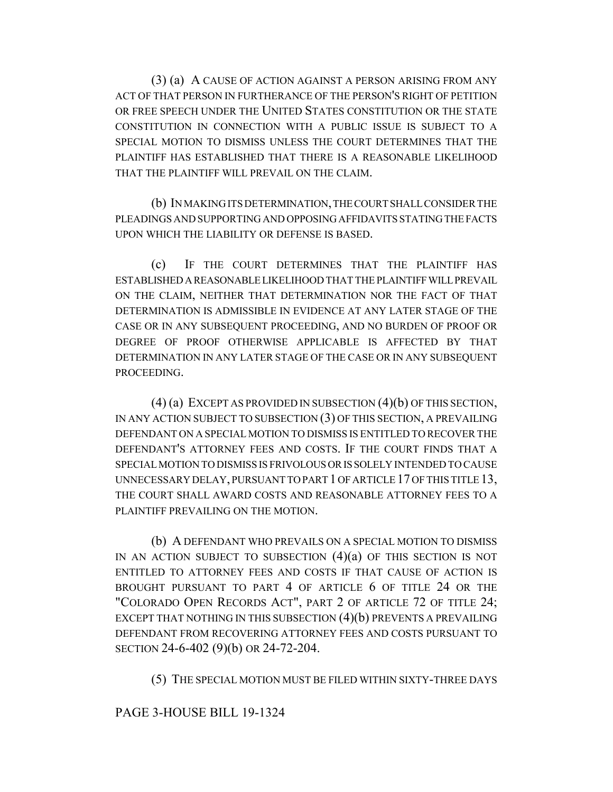(3) (a) A CAUSE OF ACTION AGAINST A PERSON ARISING FROM ANY ACT OF THAT PERSON IN FURTHERANCE OF THE PERSON'S RIGHT OF PETITION OR FREE SPEECH UNDER THE UNITED STATES CONSTITUTION OR THE STATE CONSTITUTION IN CONNECTION WITH A PUBLIC ISSUE IS SUBJECT TO A SPECIAL MOTION TO DISMISS UNLESS THE COURT DETERMINES THAT THE PLAINTIFF HAS ESTABLISHED THAT THERE IS A REASONABLE LIKELIHOOD THAT THE PLAINTIFF WILL PREVAIL ON THE CLAIM.

(b) IN MAKING ITS DETERMINATION, THE COURT SHALL CONSIDER THE PLEADINGS AND SUPPORTING AND OPPOSING AFFIDAVITS STATING THE FACTS UPON WHICH THE LIABILITY OR DEFENSE IS BASED.

(c) IF THE COURT DETERMINES THAT THE PLAINTIFF HAS ESTABLISHED A REASONABLE LIKELIHOOD THAT THE PLAINTIFF WILL PREVAIL ON THE CLAIM, NEITHER THAT DETERMINATION NOR THE FACT OF THAT DETERMINATION IS ADMISSIBLE IN EVIDENCE AT ANY LATER STAGE OF THE CASE OR IN ANY SUBSEQUENT PROCEEDING, AND NO BURDEN OF PROOF OR DEGREE OF PROOF OTHERWISE APPLICABLE IS AFFECTED BY THAT DETERMINATION IN ANY LATER STAGE OF THE CASE OR IN ANY SUBSEQUENT PROCEEDING.

(4) (a) EXCEPT AS PROVIDED IN SUBSECTION (4)(b) OF THIS SECTION, IN ANY ACTION SUBJECT TO SUBSECTION (3) OF THIS SECTION, A PREVAILING DEFENDANT ON A SPECIAL MOTION TO DISMISS IS ENTITLED TO RECOVER THE DEFENDANT'S ATTORNEY FEES AND COSTS. IF THE COURT FINDS THAT A SPECIAL MOTION TO DISMISS IS FRIVOLOUS OR IS SOLELY INTENDED TO CAUSE UNNECESSARY DELAY, PURSUANT TO PART 1 OF ARTICLE 17 OF THIS TITLE 13, THE COURT SHALL AWARD COSTS AND REASONABLE ATTORNEY FEES TO A PLAINTIFF PREVAILING ON THE MOTION.

(b) A DEFENDANT WHO PREVAILS ON A SPECIAL MOTION TO DISMISS IN AN ACTION SUBJECT TO SUBSECTION (4)(a) OF THIS SECTION IS NOT ENTITLED TO ATTORNEY FEES AND COSTS IF THAT CAUSE OF ACTION IS BROUGHT PURSUANT TO PART 4 OF ARTICLE 6 OF TITLE 24 OR THE "COLORADO OPEN RECORDS ACT", PART 2 OF ARTICLE 72 OF TITLE 24; EXCEPT THAT NOTHING IN THIS SUBSECTION (4)(b) PREVENTS A PREVAILING DEFENDANT FROM RECOVERING ATTORNEY FEES AND COSTS PURSUANT TO SECTION 24-6-402 (9)(b) OR 24-72-204.

(5) THE SPECIAL MOTION MUST BE FILED WITHIN SIXTY-THREE DAYS

### PAGE 3-HOUSE BILL 19-1324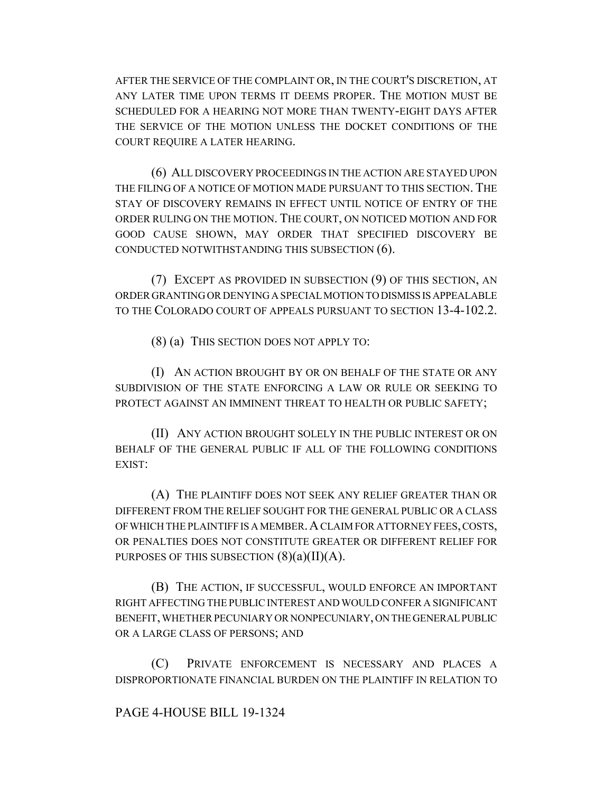AFTER THE SERVICE OF THE COMPLAINT OR, IN THE COURT'S DISCRETION, AT ANY LATER TIME UPON TERMS IT DEEMS PROPER. THE MOTION MUST BE SCHEDULED FOR A HEARING NOT MORE THAN TWENTY-EIGHT DAYS AFTER THE SERVICE OF THE MOTION UNLESS THE DOCKET CONDITIONS OF THE COURT REQUIRE A LATER HEARING.

(6) ALL DISCOVERY PROCEEDINGS IN THE ACTION ARE STAYED UPON THE FILING OF A NOTICE OF MOTION MADE PURSUANT TO THIS SECTION. THE STAY OF DISCOVERY REMAINS IN EFFECT UNTIL NOTICE OF ENTRY OF THE ORDER RULING ON THE MOTION. THE COURT, ON NOTICED MOTION AND FOR GOOD CAUSE SHOWN, MAY ORDER THAT SPECIFIED DISCOVERY BE CONDUCTED NOTWITHSTANDING THIS SUBSECTION (6).

(7) EXCEPT AS PROVIDED IN SUBSECTION (9) OF THIS SECTION, AN ORDER GRANTING OR DENYING A SPECIAL MOTION TO DISMISS IS APPEALABLE TO THE COLORADO COURT OF APPEALS PURSUANT TO SECTION 13-4-102.2.

(8) (a) THIS SECTION DOES NOT APPLY TO:

(I) AN ACTION BROUGHT BY OR ON BEHALF OF THE STATE OR ANY SUBDIVISION OF THE STATE ENFORCING A LAW OR RULE OR SEEKING TO PROTECT AGAINST AN IMMINENT THREAT TO HEALTH OR PUBLIC SAFETY;

(II) ANY ACTION BROUGHT SOLELY IN THE PUBLIC INTEREST OR ON BEHALF OF THE GENERAL PUBLIC IF ALL OF THE FOLLOWING CONDITIONS EXIST:

(A) THE PLAINTIFF DOES NOT SEEK ANY RELIEF GREATER THAN OR DIFFERENT FROM THE RELIEF SOUGHT FOR THE GENERAL PUBLIC OR A CLASS OF WHICH THE PLAINTIFF IS A MEMBER.A CLAIM FOR ATTORNEY FEES, COSTS, OR PENALTIES DOES NOT CONSTITUTE GREATER OR DIFFERENT RELIEF FOR PURPOSES OF THIS SUBSECTION  $(8)(a)(II)(A)$ .

(B) THE ACTION, IF SUCCESSFUL, WOULD ENFORCE AN IMPORTANT RIGHT AFFECTING THE PUBLIC INTEREST AND WOULD CONFER A SIGNIFICANT BENEFIT, WHETHER PECUNIARY OR NONPECUNIARY, ON THE GENERAL PUBLIC OR A LARGE CLASS OF PERSONS; AND

(C) PRIVATE ENFORCEMENT IS NECESSARY AND PLACES A DISPROPORTIONATE FINANCIAL BURDEN ON THE PLAINTIFF IN RELATION TO

### PAGE 4-HOUSE BILL 19-1324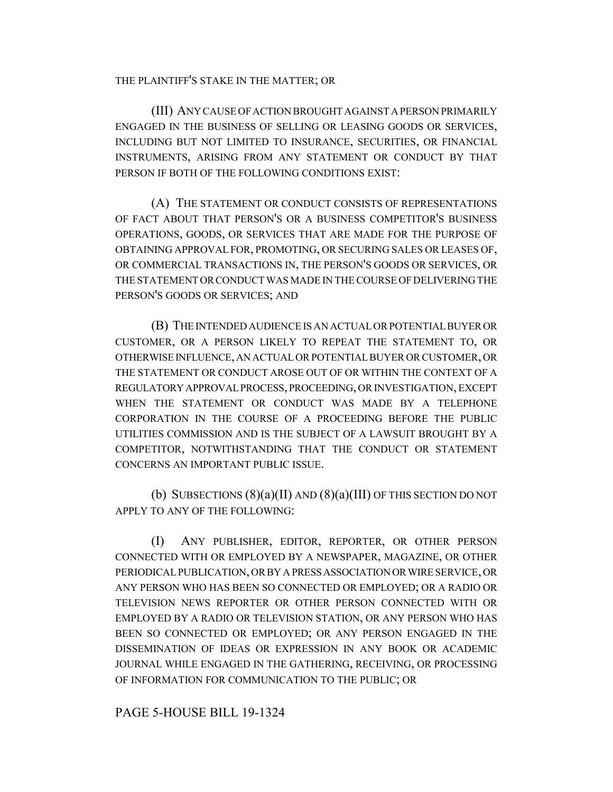#### THE PLAINTIFF'S STAKE IN THE MATTER; OR

(III) ANY CAUSE OF ACTION BROUGHT AGAINST A PERSON PRIMARILY ENGAGED IN THE BUSINESS OF SELLING OR LEASING GOODS OR SERVICES, INCLUDING BUT NOT LIMITED TO INSURANCE, SECURITIES, OR FINANCIAL INSTRUMENTS, ARISING FROM ANY STATEMENT OR CONDUCT BY THAT PERSON IF BOTH OF THE FOLLOWING CONDITIONS EXIST:

(A) THE STATEMENT OR CONDUCT CONSISTS OF REPRESENTATIONS OF FACT ABOUT THAT PERSON'S OR A BUSINESS COMPETITOR'S BUSINESS OPERATIONS, GOODS, OR SERVICES THAT ARE MADE FOR THE PURPOSE OF OBTAINING APPROVAL FOR, PROMOTING, OR SECURING SALES OR LEASES OF, OR COMMERCIAL TRANSACTIONS IN, THE PERSON'S GOODS OR SERVICES, OR THE STATEMENT OR CONDUCT WAS MADE IN THE COURSE OF DELIVERING THE PERSON'S GOODS OR SERVICES; AND

(B) THE INTENDED AUDIENCE IS AN ACTUAL OR POTENTIAL BUYER OR CUSTOMER, OR A PERSON LIKELY TO REPEAT THE STATEMENT TO, OR OTHERWISE INFLUENCE, AN ACTUAL OR POTENTIAL BUYER OR CUSTOMER, OR THE STATEMENT OR CONDUCT AROSE OUT OF OR WITHIN THE CONTEXT OF A REGULATORY APPROVAL PROCESS, PROCEEDING, OR INVESTIGATION, EXCEPT WHEN THE STATEMENT OR CONDUCT WAS MADE BY A TELEPHONE CORPORATION IN THE COURSE OF A PROCEEDING BEFORE THE PUBLIC UTILITIES COMMISSION AND IS THE SUBJECT OF A LAWSUIT BROUGHT BY A COMPETITOR, NOTWITHSTANDING THAT THE CONDUCT OR STATEMENT CONCERNS AN IMPORTANT PUBLIC ISSUE.

(b) SUBSECTIONS  $(8)(a)(II)$  AND  $(8)(a)(III)$  OF THIS SECTION DO NOT APPLY TO ANY OF THE FOLLOWING:

(I) ANY PUBLISHER, EDITOR, REPORTER, OR OTHER PERSON CONNECTED WITH OR EMPLOYED BY A NEWSPAPER, MAGAZINE, OR OTHER PERIODICAL PUBLICATION, OR BY A PRESS ASSOCIATION OR WIRE SERVICE, OR ANY PERSON WHO HAS BEEN SO CONNECTED OR EMPLOYED; OR A RADIO OR TELEVISION NEWS REPORTER OR OTHER PERSON CONNECTED WITH OR EMPLOYED BY A RADIO OR TELEVISION STATION, OR ANY PERSON WHO HAS BEEN SO CONNECTED OR EMPLOYED; OR ANY PERSON ENGAGED IN THE DISSEMINATION OF IDEAS OR EXPRESSION IN ANY BOOK OR ACADEMIC JOURNAL WHILE ENGAGED IN THE GATHERING, RECEIVING, OR PROCESSING OF INFORMATION FOR COMMUNICATION TO THE PUBLIC; OR

### PAGE 5-HOUSE BILL 19-1324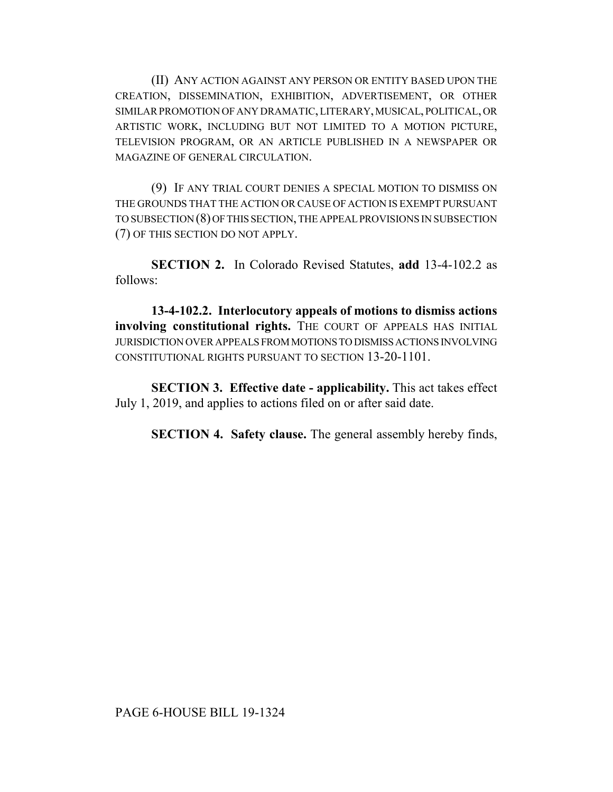(II) ANY ACTION AGAINST ANY PERSON OR ENTITY BASED UPON THE CREATION, DISSEMINATION, EXHIBITION, ADVERTISEMENT, OR OTHER SIMILAR PROMOTION OF ANY DRAMATIC, LITERARY, MUSICAL, POLITICAL, OR ARTISTIC WORK, INCLUDING BUT NOT LIMITED TO A MOTION PICTURE, TELEVISION PROGRAM, OR AN ARTICLE PUBLISHED IN A NEWSPAPER OR MAGAZINE OF GENERAL CIRCULATION.

(9) IF ANY TRIAL COURT DENIES A SPECIAL MOTION TO DISMISS ON THE GROUNDS THAT THE ACTION OR CAUSE OF ACTION IS EXEMPT PURSUANT TO SUBSECTION (8) OF THIS SECTION, THE APPEAL PROVISIONS IN SUBSECTION (7) OF THIS SECTION DO NOT APPLY.

**SECTION 2.** In Colorado Revised Statutes, **add** 13-4-102.2 as follows:

**13-4-102.2. Interlocutory appeals of motions to dismiss actions** involving constitutional rights. THE COURT OF APPEALS HAS INITIAL JURISDICTION OVER APPEALS FROM MOTIONS TO DISMISS ACTIONS INVOLVING CONSTITUTIONAL RIGHTS PURSUANT TO SECTION 13-20-1101.

**SECTION 3. Effective date - applicability.** This act takes effect July 1, 2019, and applies to actions filed on or after said date.

**SECTION 4. Safety clause.** The general assembly hereby finds,